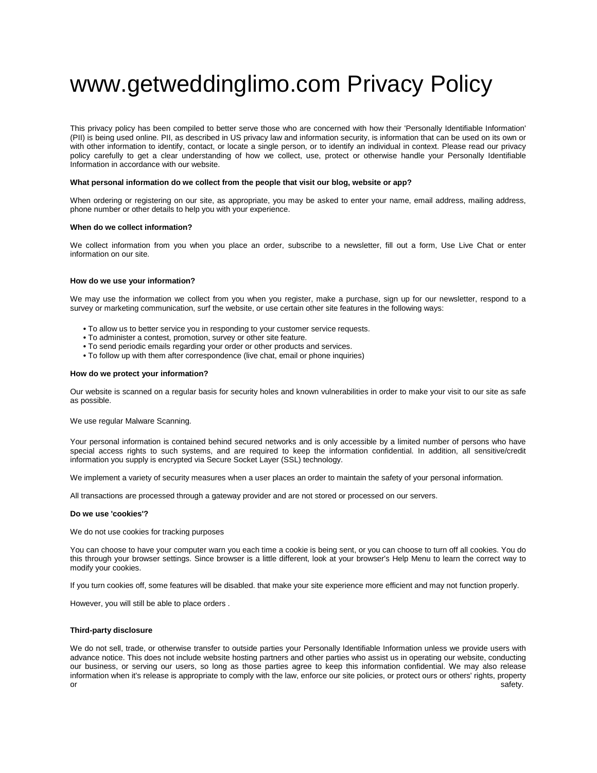# www.getweddinglimo.com Privacy Policy

This privacy policy has been compiled to better serve those who are concerned with how their 'Personally Identifiable Information' (PII) is being used online. PII, as described in US privacy law and information security, is information that can be used on its own or with other information to identify, contact, or locate a single person, or to identify an individual in context. Please read our privacy policy carefully to get a clear understanding of how we collect, use, protect or otherwise handle your Personally Identifiable Information in accordance with our website.

# **What personal information do we collect from the people that visit our blog, website or app?**

When ordering or registering on our site, as appropriate, you may be asked to enter your name, email address, mailing address, phone number or other details to help you with your experience.

# **When do we collect information?**

We collect information from you when you place an order, subscribe to a newsletter, fill out a form, Use Live Chat or enter information on our site.

# **How do we use your information?**

We may use the information we collect from you when you register, make a purchase, sign up for our newsletter, respond to a survey or marketing communication, surf the website, or use certain other site features in the following ways:

- **•** To allow us to better service you in responding to your customer service requests.
- **•** To administer a contest, promotion, survey or other site feature.
- **•** To send periodic emails regarding your order or other products and services.
- **•** To follow up with them after correspondence (live chat, email or phone inquiries)

# **How do we protect your information?**

Our website is scanned on a regular basis for security holes and known vulnerabilities in order to make your visit to our site as safe as possible.

We use regular Malware Scanning.

Your personal information is contained behind secured networks and is only accessible by a limited number of persons who have special access rights to such systems, and are required to keep the information confidential. In addition, all sensitive/credit information you supply is encrypted via Secure Socket Layer (SSL) technology.

We implement a variety of security measures when a user places an order to maintain the safety of your personal information.

All transactions are processed through a gateway provider and are not stored or processed on our servers.

# **Do we use 'cookies'?**

We do not use cookies for tracking purposes

You can choose to have your computer warn you each time a cookie is being sent, or you can choose to turn off all cookies. You do this through your browser settings. Since browser is a little different, look at your browser's Help Menu to learn the correct way to modify your cookies.

If you turn cookies off, some features will be disabled. that make your site experience more efficient and may not function properly.

However, you will still be able to place orders .

#### **Third-party disclosure**

We do not sell, trade, or otherwise transfer to outside parties your Personally Identifiable Information unless we provide users with advance notice. This does not include website hosting partners and other parties who assist us in operating our website, conducting our business, or serving our users, so long as those parties agree to keep this information confidential. We may also release information when it's release is appropriate to comply with the law, enforce our site policies, or protect ours or others' rights, property or safety. In the contract of the contract of the contract of the contract of the contract of the contract of the contract of the contract of the contract of the contract of the contract of the contract of the contract of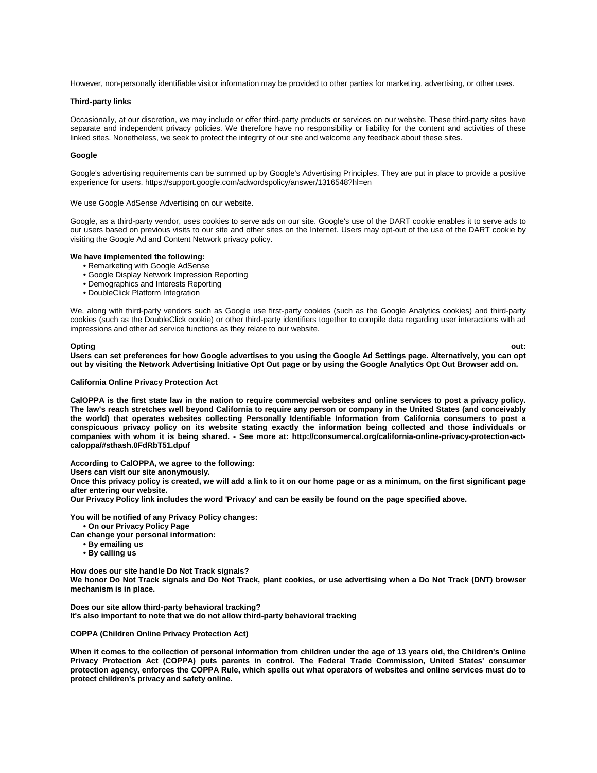However, non-personally identifiable visitor information may be provided to other parties for marketing, advertising, or other uses.

# **Third-party links**

Occasionally, at our discretion, we may include or offer third-party products or services on our website. These third-party sites have separate and independent privacy policies. We therefore have no responsibility or liability for the content and activities of these linked sites. Nonetheless, we seek to protect the integrity of our site and welcome any feedback about these sites.

## **Google**

Google's advertising requirements can be summed up by Google's Advertising Principles. They are put in place to provide a positive experience for users. https://support.google.com/adwordspolicy/answer/1316548?hl=en

We use Google AdSense Advertising on our website.

Google, as a third-party vendor, uses cookies to serve ads on our site. Google's use of the DART cookie enables it to serve ads to our users based on previous visits to our site and other sites on the Internet. Users may opt-out of the use of the DART cookie by visiting the Google Ad and Content Network privacy policy.

#### **We have implemented the following:**

- **•** Remarketing with Google AdSense
- **•** Google Display Network Impression Reporting
- **•** Demographics and Interests Reporting
- **•** DoubleClick Platform Integration

We, along with third-party vendors such as Google use first-party cookies (such as the Google Analytics cookies) and third-party cookies (such as the DoubleClick cookie) or other third-party identifiers together to compile data regarding user interactions with ad impressions and other ad service functions as they relate to our website.

#### **Opting out:**

**Users can set preferences for how Google advertises to you using the Google Ad Settings page. Alternatively, you can opt out by visiting the Network Advertising Initiative Opt Out page or by using the Google Analytics Opt Out Browser add on.**

# **California Online Privacy Protection Act**

**CalOPPA is the first state law in the nation to require commercial websites and online services to post a privacy policy. The law's reach stretches well beyond California to require any person or company in the United States (and conceivably the world) that operates websites collecting Personally Identifiable Information from California consumers to post a conspicuous privacy policy on its website stating exactly the information being collected and those individuals or companies with whom it is being shared. - See more at: http://consumercal.org/california-online-privacy-protection-actcaloppa/#sthash.0FdRbT51.dpuf**

**According to CalOPPA, we agree to the following:**

**Users can visit our site anonymously.**

**Once this privacy policy is created, we will add a link to it on our home page or as a minimum, on the first significant page after entering our website.**

**Our Privacy Policy link includes the word 'Privacy' and can be easily be found on the page specified above.**

**You will be notified of any Privacy Policy changes:**

**• On our Privacy Policy Page**

**Can change your personal information:**

- **By emailing us**
	- **By calling us**

**How does our site handle Do Not Track signals?**

**We honor Do Not Track signals and Do Not Track, plant cookies, or use advertising when a Do Not Track (DNT) browser mechanism is in place.**

**Does our site allow third-party behavioral tracking? It's also important to note that we do not allow third-party behavioral tracking**

**COPPA (Children Online Privacy Protection Act)**

**When it comes to the collection of personal information from children under the age of 13 years old, the Children's Online Privacy Protection Act (COPPA) puts parents in control. The Federal Trade Commission, United States' consumer protection agency, enforces the COPPA Rule, which spells out what operators of websites and online services must do to protect children's privacy and safety online.**